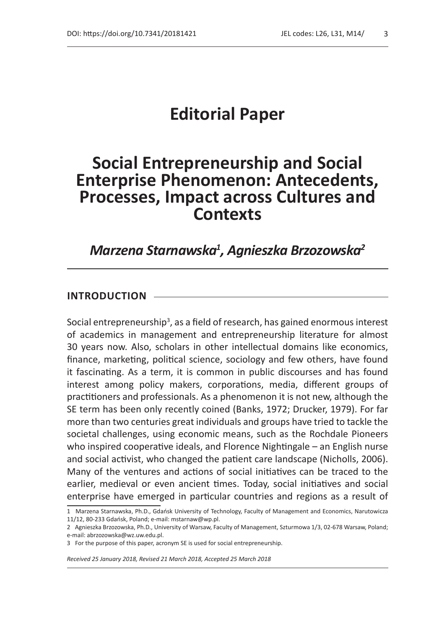# **Editorial Paper**

## **Social Entrepreneurship and Social Enterprise Phenomenon: Antecedents, Processes, Impact across Cultures and Contexts**

## *Marzena Starnawska1 , Agnieszka Brzozowska2*

#### **INTRODUCTION**

Social entrepreneurship<sup>3</sup>, as a field of research, has gained enormous interest of academics in management and entrepreneurship literature for almost 30 years now. Also, scholars in other intellectual domains like economics, finance, marketing, political science, sociology and few others, have found it fascinating. As a term, it is common in public discourses and has found interest among policy makers, corporations, media, different groups of practitioners and professionals. As a phenomenon it is not new, although the SE term has been only recently coined (Banks, 1972; Drucker, 1979). For far more than two centuries great individuals and groups have tried to tackle the societal challenges, using economic means, such as the Rochdale Pioneers who inspired cooperative ideals, and Florence Nightingale – an English nurse and social activist, who changed the patient care landscape (Nicholls, 2006). Many of the ventures and actions of social initiatives can be traced to the earlier, medieval or even ancient times. Today, social initiatives and social enterprise have emerged in particular countries and regions as a result of

*Received 25 January 2018, Revised 21 March 2018, Accepted 25 March 2018*

<sup>1</sup> Marzena Starnawska, Ph.D., Gdańsk University of Technology, Faculty of Management and Economics, Narutowicza 11/12, 80-233 Gdańsk, Poland; e-mail: mstarnaw@wp.pl.

<sup>2</sup> Agnieszka Brzozowska, Ph.D., University of Warsaw, Faculty of Management, Szturmowa 1/3, 02-678 Warsaw, Poland; e-mail: abrzozowska@wz.uw.edu.pl.

<sup>3</sup> For the purpose of this paper, acronym SE is used for social entrepreneurship.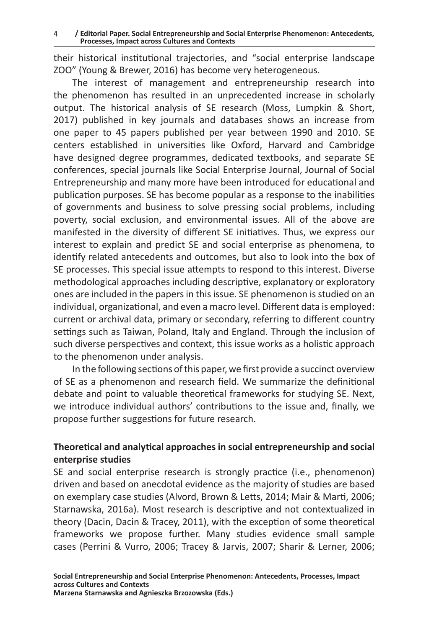4 **/ Editorial Paper. Social Entrepreneurship and Social Enterprise Phenomenon: Antecedents, Processes, Impact across Cultures and Contexts**

their historical institutional trajectories, and "social enterprise landscape ZOO" (Young & Brewer, 2016) has become very heterogeneous.

The interest of management and entrepreneurship research into the phenomenon has resulted in an unprecedented increase in scholarly output. The historical analysis of SE research (Moss, Lumpkin & Short, 2017) published in key journals and databases shows an increase from one paper to 45 papers published per year between 1990 and 2010. SE centers established in universities like Oxford, Harvard and Cambridge have designed degree programmes, dedicated textbooks, and separate SE conferences, special journals like Social Enterprise Journal, Journal of Social Entrepreneurship and many more have been introduced for educational and publication purposes. SE has become popular as a response to the inabilities of governments and business to solve pressing social problems, including poverty, social exclusion, and environmental issues. All of the above are manifested in the diversity of different SE initiatives. Thus, we express our interest to explain and predict SE and social enterprise as phenomena, to identify related antecedents and outcomes, but also to look into the box of SE processes. This special issue attempts to respond to this interest. Diverse methodological approaches including descriptive, explanatory or exploratory ones are included in the papers in this issue. SE phenomenon is studied on an individual, organizational, and even a macro level. Different data is employed: current or archival data, primary or secondary, referring to different country settings such as Taiwan, Poland, Italy and England. Through the inclusion of such diverse perspectives and context, this issue works as a holistic approach to the phenomenon under analysis.

In the following sections of this paper, we first provide a succinct overview of SE as a phenomenon and research field. We summarize the definitional debate and point to valuable theoretical frameworks for studying SE. Next, we introduce individual authors' contributions to the issue and, finally, we propose further suggestions for future research.

### **Theoretical and analytical approaches in social entrepreneurship and social enterprise studies**

SE and social enterprise research is strongly practice (i.e., phenomenon) driven and based on anecdotal evidence as the majority of studies are based on exemplary case studies (Alvord, Brown & Letts, 2014; Mair & Marti, 2006; Starnawska, 2016a). Most research is descriptive and not contextualized in theory (Dacin, Dacin & Tracey, 2011), with the exception of some theoretical frameworks we propose further. Many studies evidence small sample cases (Perrini & Vurro, 2006; Tracey & Jarvis, 2007; Sharir & Lerner, 2006;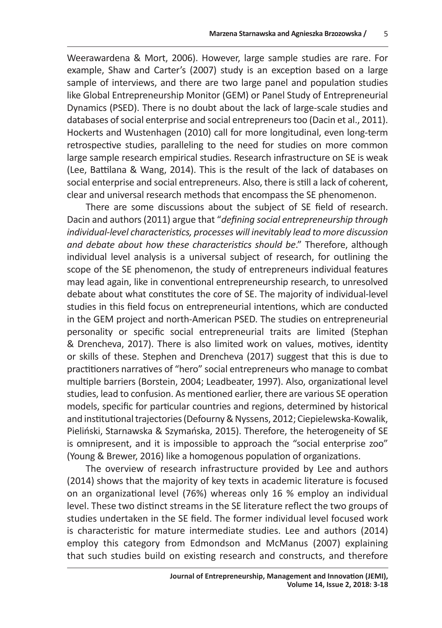Weerawardena & Mort, 2006). However, large sample studies are rare. For example, Shaw and Carter's (2007) study is an exception based on a large sample of interviews, and there are two large panel and population studies like Global Entrepreneurship Monitor (GEM) or Panel Study of Entrepreneurial Dynamics (PSED). There is no doubt about the lack of large-scale studies and databases of social enterprise and social entrepreneurs too (Dacin et al., 2011). Hockerts and Wustenhagen (2010) call for more longitudinal, even long-term retrospective studies, paralleling to the need for studies on more common large sample research empirical studies. Research infrastructure on SE is weak (Lee, Battilana & Wang, 2014). This is the result of the lack of databases on social enterprise and social entrepreneurs. Also, there is still a lack of coherent, clear and universal research methods that encompass the SE phenomenon.

There are some discussions about the subject of SE field of research. Dacin and authors (2011) argue that "*defining social entrepreneurship through individual-level characteristics, processes will inevitably lead to more discussion and debate about how these characteristics should be*." Therefore, although individual level analysis is a universal subject of research, for outlining the scope of the SE phenomenon, the study of entrepreneurs individual features may lead again, like in conventional entrepreneurship research, to unresolved debate about what constitutes the core of SE. The majority of individual-level studies in this field focus on entrepreneurial intentions, which are conducted in the GEM project and north-American PSED. The studies on entrepreneurial personality or specific social entrepreneurial traits are limited (Stephan & Drencheva, 2017). There is also limited work on values, motives, identity or skills of these. Stephen and Drencheva (2017) suggest that this is due to practitioners narratives of "hero" social entrepreneurs who manage to combat multiple barriers (Borstein, 2004; Leadbeater, 1997). Also, organizational level studies, lead to confusion. As mentioned earlier, there are various SE operation models, specific for particular countries and regions, determined by historical and institutional trajectories (Defourny & Nyssens, 2012; Ciepielewska-Kowalik, Pieliński, Starnawska & Szymańska, 2015). Therefore, the heterogeneity of SE is omnipresent, and it is impossible to approach the "social enterprise zoo" (Young & Brewer, 2016) like a homogenous population of organizations.

The overview of research infrastructure provided by Lee and authors (2014) shows that the majority of key texts in academic literature is focused on an organizational level (76%) whereas only 16 % employ an individual level. These two distinct streams in the SE literature reflect the two groups of studies undertaken in the SE field. The former individual level focused work is characteristic for mature intermediate studies. Lee and authors (2014) employ this category from Edmondson and McManus (2007) explaining that such studies build on existing research and constructs, and therefore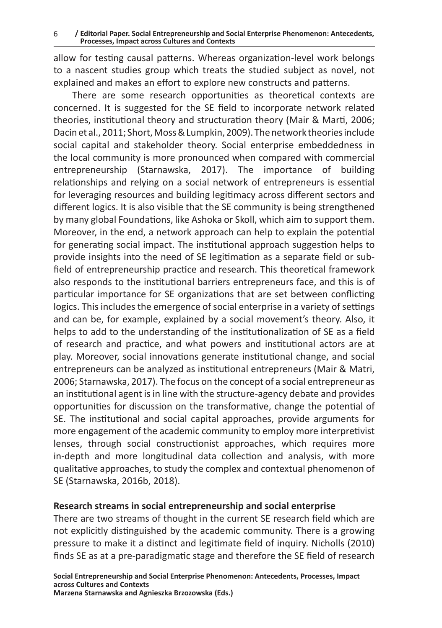allow for testing causal patterns. Whereas organization-level work belongs to a nascent studies group which treats the studied subject as novel, not explained and makes an effort to explore new constructs and patterns.

There are some research opportunities as theoretical contexts are concerned. It is suggested for the SE field to incorporate network related theories, institutional theory and structuration theory (Mair & Marti, 2006; Dacin et al., 2011; Short, Moss & Lumpkin, 2009). The network theories include social capital and stakeholder theory. Social enterprise embeddedness in the local community is more pronounced when compared with commercial entrepreneurship (Starnawska, 2017). The importance of building relationships and relying on a social network of entrepreneurs is essential for leveraging resources and building legitimacy across different sectors and different logics. It is also visible that the SE community is being strengthened by many global Foundations, like Ashoka or Skoll, which aim to support them. Moreover, in the end, a network approach can help to explain the potential for generating social impact. The institutional approach suggestion helps to provide insights into the need of SE legitimation as a separate field or subfield of entrepreneurship practice and research. This theoretical framework also responds to the institutional barriers entrepreneurs face, and this is of particular importance for SE organizations that are set between conflicting logics. This includes the emergence of social enterprise in a variety of settings and can be, for example, explained by a social movement's theory. Also, it helps to add to the understanding of the institutionalization of SE as a field of research and practice, and what powers and institutional actors are at play. Moreover, social innovations generate institutional change, and social entrepreneurs can be analyzed as institutional entrepreneurs (Mair & Matri, 2006; Starnawska, 2017). The focus on the concept of a social entrepreneur as an institutional agent is in line with the structure-agency debate and provides opportunities for discussion on the transformative, change the potential of SE. The institutional and social capital approaches, provide arguments for more engagement of the academic community to employ more interpretivist lenses, through social constructionist approaches, which requires more in-depth and more longitudinal data collection and analysis, with more qualitative approaches, to study the complex and contextual phenomenon of SE (Starnawska, 2016b, 2018).

## **Research streams in social entrepreneurship and social enterprise**

There are two streams of thought in the current SE research field which are not explicitly distinguished by the academic community. There is a growing pressure to make it a distinct and legitimate field of inquiry. Nicholls (2010) finds SE as at a pre-paradigmatic stage and therefore the SE field of research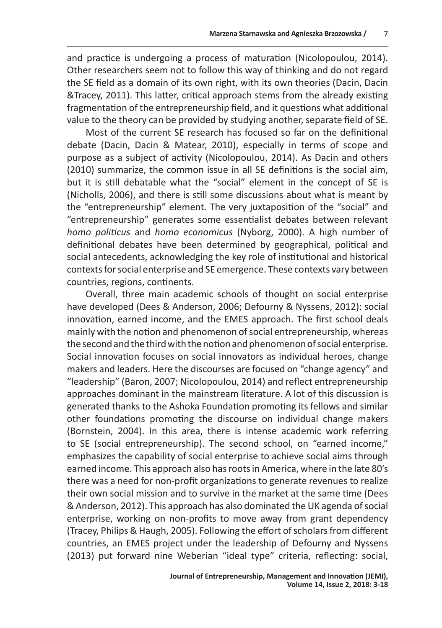and practice is undergoing a process of maturation (Nicolopoulou, 2014). Other researchers seem not to follow this way of thinking and do not regard the SE field as a domain of its own right, with its own theories (Dacin, Dacin &Tracey, 2011). This latter, critical approach stems from the already existing fragmentation of the entrepreneurship field, and it questions what additional value to the theory can be provided by studying another, separate field of SE.

Most of the current SE research has focused so far on the definitional debate (Dacin, Dacin & Matear, 2010), especially in terms of scope and purpose as a subject of activity (Nicolopoulou, 2014). As Dacin and others (2010) summarize, the common issue in all SE definitions is the social aim, but it is still debatable what the "social" element in the concept of SE is (Nicholls, 2006), and there is still some discussions about what is meant by the "entrepreneurship" element. The very juxtaposition of the "social" and "entrepreneurship" generates some essentialist debates between relevant *homo politicus* and *homo economicus* (Nyborg, 2000). A high number of definitional debates have been determined by geographical, political and social antecedents, acknowledging the key role of institutional and historical contexts for social enterprise and SE emergence. These contexts vary between countries, regions, continents.

Overall, three main academic schools of thought on social enterprise have developed (Dees & Anderson, 2006; Defourny & Nyssens, 2012): social innovation, earned income, and the EMES approach. The first school deals mainly with the notion and phenomenon of social entrepreneurship, whereas the second and the third with the notion and phenomenon of social enterprise. Social innovation focuses on social innovators as individual heroes, change makers and leaders. Here the discourses are focused on "change agency" and "leadership" (Baron, 2007; Nicolopoulou, 2014) and reflect entrepreneurship approaches dominant in the mainstream literature. A lot of this discussion is generated thanks to the Ashoka Foundation promoting its fellows and similar other foundations promoting the discourse on individual change makers (Bornstein, 2004). In this area, there is intense academic work referring to SE (social entrepreneurship). The second school, on "earned income," emphasizes the capability of social enterprise to achieve social aims through earned income. This approach also has roots in America, where in the late 80's there was a need for non-profit organizations to generate revenues to realize their own social mission and to survive in the market at the same time (Dees & Anderson, 2012). This approach has also dominated the UK agenda of social enterprise, working on non-profits to move away from grant dependency (Tracey, Philips & Haugh, 2005). Following the effort of scholars from different countries, an EMES project under the leadership of Defourny and Nyssens (2013) put forward nine Weberian "ideal type" criteria, reflecting: social,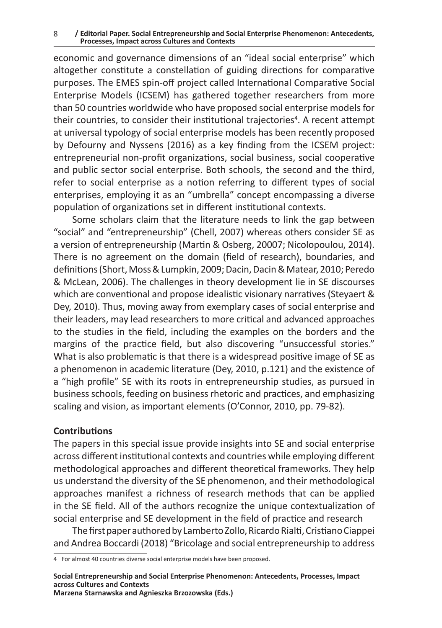8 **/ Editorial Paper. Social Entrepreneurship and Social Enterprise Phenomenon: Antecedents, Processes, Impact across Cultures and Contexts**

economic and governance dimensions of an "ideal social enterprise" which altogether constitute a constellation of guiding directions for comparative purposes. The EMES spin-off project called International Comparative Social Enterprise Models (ICSEM) has gathered together researchers from more than 50 countries worldwide who have proposed social enterprise models for their countries, to consider their institutional trajectories<sup>4</sup>. A recent attempt at universal typology of social enterprise models has been recently proposed by Defourny and Nyssens (2016) as a key finding from the ICSEM project: entrepreneurial non-profit organizations, social business, social cooperative and public sector social enterprise. Both schools, the second and the third, refer to social enterprise as a notion referring to different types of social enterprises, employing it as an "umbrella" concept encompassing a diverse population of organizations set in different institutional contexts.

Some scholars claim that the literature needs to link the gap between "social" and "entrepreneurship" (Chell, 2007) whereas others consider SE as a version of entrepreneurship (Martin & Osberg, 20007; Nicolopoulou, 2014). There is no agreement on the domain (field of research), boundaries, and definitions (Short, Moss & Lumpkin, 2009; Dacin, Dacin & Matear, 2010; Peredo & McLean, 2006). The challenges in theory development lie in SE discourses which are conventional and propose idealistic visionary narratives (Steyaert & Dey, 2010). Thus, moving away from exemplary cases of social enterprise and their leaders, may lead researchers to more critical and advanced approaches to the studies in the field, including the examples on the borders and the margins of the practice field, but also discovering "unsuccessful stories." What is also problematic is that there is a widespread positive image of SE as a phenomenon in academic literature (Dey, 2010, p.121) and the existence of a "high profile" SE with its roots in entrepreneurship studies, as pursued in business schools, feeding on business rhetoric and practices, and emphasizing scaling and vision, as important elements (O'Connor, 2010, pp. 79-82).

#### **Contributions**

The papers in this special issue provide insights into SE and social enterprise across different institutional contexts and countries while employing different methodological approaches and different theoretical frameworks. They help us understand the diversity of the SE phenomenon, and their methodological approaches manifest a richness of research methods that can be applied in the SE field. All of the authors recognize the unique contextualization of social enterprise and SE development in the field of practice and research

The first paper authored by Lamberto Zollo, Ricardo Rialti, Cristiano Ciappei and Andrea Boccardi (2018) "Bricolage and social entrepreneurship to address

**Marzena Starnawska and Agnieszka Brzozowska (Eds.)**

<sup>4</sup> For almost 40 countries diverse social enterprise models have been proposed.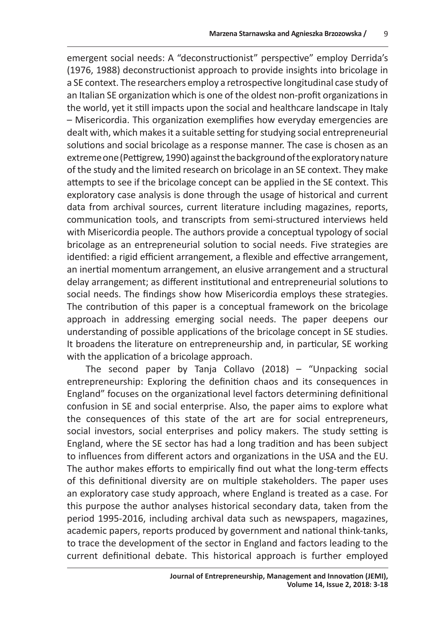emergent social needs: A "deconstructionist" perspective" employ Derrida's (1976, 1988) deconstructionist approach to provide insights into bricolage in a SE context. The researchers employ a retrospective longitudinal case study of an Italian SE organization which is one of the oldest non-profit organizations in the world, yet it still impacts upon the social and healthcare landscape in Italy – Misericordia. This organization exemplifies how everyday emergencies are dealt with, which makes it a suitable setting for studying social entrepreneurial solutions and social bricolage as a response manner. The case is chosen as an extreme one (Pettigrew, 1990) against the background of the exploratory nature of the study and the limited research on bricolage in an SE context. They make attempts to see if the bricolage concept can be applied in the SE context. This exploratory case analysis is done through the usage of historical and current data from archival sources, current literature including magazines, reports, communication tools, and transcripts from semi-structured interviews held with Misericordia people. The authors provide a conceptual typology of social bricolage as an entrepreneurial solution to social needs. Five strategies are identified: a rigid efficient arrangement, a flexible and effective arrangement, an inertial momentum arrangement, an elusive arrangement and a structural delay arrangement; as different institutional and entrepreneurial solutions to social needs. The findings show how Misericordia employs these strategies. The contribution of this paper is a conceptual framework on the bricolage approach in addressing emerging social needs. The paper deepens our understanding of possible applications of the bricolage concept in SE studies. It broadens the literature on entrepreneurship and, in particular, SE working with the application of a bricolage approach.

The second paper by Tanja Collavo (2018) – "Unpacking social entrepreneurship: Exploring the definition chaos and its consequences in England" focuses on the organizational level factors determining definitional confusion in SE and social enterprise. Also, the paper aims to explore what the consequences of this state of the art are for social entrepreneurs, social investors, social enterprises and policy makers. The study setting is England, where the SE sector has had a long tradition and has been subject to influences from different actors and organizations in the USA and the EU. The author makes efforts to empirically find out what the long-term effects of this definitional diversity are on multiple stakeholders. The paper uses an exploratory case study approach, where England is treated as a case. For this purpose the author analyses historical secondary data, taken from the period 1995-2016, including archival data such as newspapers, magazines, academic papers, reports produced by government and national think-tanks, to trace the development of the sector in England and factors leading to the current definitional debate. This historical approach is further employed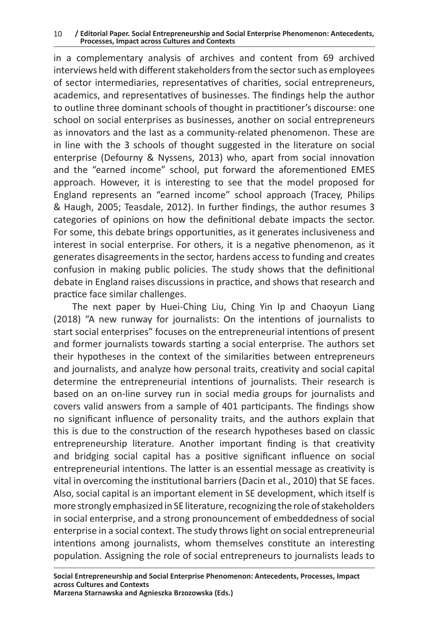10 **/ Editorial Paper. Social Entrepreneurship and Social Enterprise Phenomenon: Antecedents, Processes, Impact across Cultures and Contexts**

in a complementary analysis of archives and content from 69 archived interviews held with different stakeholders from the sector such as employees of sector intermediaries, representatives of charities, social entrepreneurs, academics, and representatives of businesses. The findings help the author to outline three dominant schools of thought in practitioner's discourse: one school on social enterprises as businesses, another on social entrepreneurs as innovators and the last as a community-related phenomenon. These are in line with the 3 schools of thought suggested in the literature on social enterprise (Defourny & Nyssens, 2013) who, apart from social innovation and the "earned income" school, put forward the aforementioned EMES approach. However, it is interesting to see that the model proposed for England represents an "earned income" school approach (Tracey, Philips & Haugh, 2005; Teasdale, 2012). In further findings, the author resumes 3 categories of opinions on how the definitional debate impacts the sector. For some, this debate brings opportunities, as it generates inclusiveness and interest in social enterprise. For others, it is a negative phenomenon, as it generates disagreements in the sector, hardens access to funding and creates confusion in making public policies. The study shows that the definitional debate in England raises discussions in practice, and shows that research and practice face similar challenges.

The next paper by Huei-Ching Liu, Ching Yin Ip and Chaoyun Liang (2018) "A new runway for journalists: On the intentions of journalists to start social enterprises" focuses on the entrepreneurial intentions of present and former journalists towards starting a social enterprise. The authors set their hypotheses in the context of the similarities between entrepreneurs and journalists, and analyze how personal traits, creativity and social capital determine the entrepreneurial intentions of journalists. Their research is based on an on-line survey run in social media groups for journalists and covers valid answers from a sample of 401 participants. The findings show no significant influence of personality traits, and the authors explain that this is due to the construction of the research hypotheses based on classic entrepreneurship literature. Another important finding is that creativity and bridging social capital has a positive significant influence on social entrepreneurial intentions. The latter is an essential message as creativity is vital in overcoming the institutional barriers (Dacin et al., 2010) that SE faces. Also, social capital is an important element in SE development, which itself is more strongly emphasized in SE literature, recognizing the role of stakeholders in social enterprise, and a strong pronouncement of embeddedness of social enterprise in a social context. The study throws light on social entrepreneurial intentions among journalists, whom themselves constitute an interesting population. Assigning the role of social entrepreneurs to journalists leads to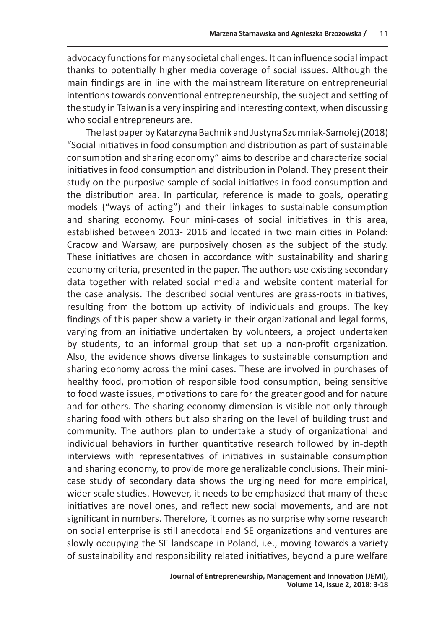advocacy functions for many societal challenges. It can influence social impact thanks to potentially higher media coverage of social issues. Although the main findings are in line with the mainstream literature on entrepreneurial intentions towards conventional entrepreneurship, the subject and setting of the study in Taiwan is a very inspiring and interesting context, when discussing who social entrepreneurs are.

The last paper by Katarzyna Bachnik and Justyna Szumniak-Samolej (2018) "Social initiatives in food consumption and distribution as part of sustainable consumption and sharing economy" aims to describe and characterize social initiatives in food consumption and distribution in Poland. They present their study on the purposive sample of social initiatives in food consumption and the distribution area. In particular, reference is made to goals, operating models ("ways of acting") and their linkages to sustainable consumption and sharing economy. Four mini-cases of social initiatives in this area, established between 2013- 2016 and located in two main cities in Poland: Cracow and Warsaw, are purposively chosen as the subject of the study. These initiatives are chosen in accordance with sustainability and sharing economy criteria, presented in the paper. The authors use existing secondary data together with related social media and website content material for the case analysis. The described social ventures are grass-roots initiatives, resulting from the bottom up activity of individuals and groups. The key findings of this paper show a variety in their organizational and legal forms, varying from an initiative undertaken by volunteers, a project undertaken by students, to an informal group that set up a non-profit organization. Also, the evidence shows diverse linkages to sustainable consumption and sharing economy across the mini cases. These are involved in purchases of healthy food, promotion of responsible food consumption, being sensitive to food waste issues, motivations to care for the greater good and for nature and for others. The sharing economy dimension is visible not only through sharing food with others but also sharing on the level of building trust and community. The authors plan to undertake a study of organizational and individual behaviors in further quantitative research followed by in-depth interviews with representatives of initiatives in sustainable consumption and sharing economy, to provide more generalizable conclusions. Their minicase study of secondary data shows the urging need for more empirical, wider scale studies. However, it needs to be emphasized that many of these initiatives are novel ones, and reflect new social movements, and are not significant in numbers. Therefore, it comes as no surprise why some research on social enterprise is still anecdotal and SE organizations and ventures are slowly occupying the SE landscape in Poland, i.e., moving towards a variety of sustainability and responsibility related initiatives, beyond a pure welfare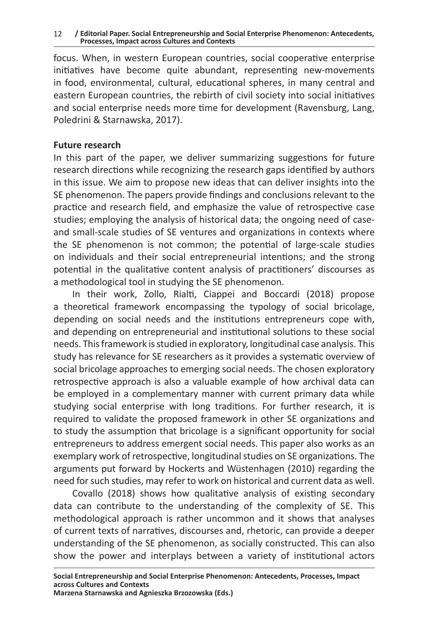12 **/ Editorial Paper. Social Entrepreneurship and Social Enterprise Phenomenon: Antecedents, Processes, Impact across Cultures and Contexts**

focus. When, in western European countries, social cooperative enterprise initiatives have become quite abundant, representing new-movements in food, environmental, cultural, educational spheres, in many central and eastern European countries, the rebirth of civil society into social initiatives and social enterprise needs more time for development (Ravensburg, Lang, Poledrini & Starnawska, 2017).

### **Future research**

In this part of the paper, we deliver summarizing suggestions for future research directions while recognizing the research gaps identified by authors in this issue. We aim to propose new ideas that can deliver insights into the SE phenomenon. The papers provide findings and conclusions relevant to the practice and research field, and emphasize the value of retrospective case studies; employing the analysis of historical data; the ongoing need of caseand small-scale studies of SE ventures and organizations in contexts where the SE phenomenon is not common; the potential of large-scale studies on individuals and their social entrepreneurial intentions; and the strong potential in the qualitative content analysis of practitioners' discourses as a methodological tool in studying the SE phenomenon.

In their work, Zollo, Rialti, Ciappei and Boccardi (2018) propose a theoretical framework encompassing the typology of social bricolage, depending on social needs and the institutions entrepreneurs cope with, and depending on entrepreneurial and institutional solutions to these social needs. This framework is studied in exploratory, longitudinal case analysis. This study has relevance for SE researchers as it provides a systematic overview of social bricolage approaches to emerging social needs. The chosen exploratory retrospective approach is also a valuable example of how archival data can be employed in a complementary manner with current primary data while studying social enterprise with long traditions. For further research, it is required to validate the proposed framework in other SE organizations and to study the assumption that bricolage is a significant opportunity for social entrepreneurs to address emergent social needs. This paper also works as an exemplary work of retrospective, longitudinal studies on SE organizations. The arguments put forward by Hockerts and Wüstenhagen (2010) regarding the need for such studies, may refer to work on historical and current data as well.

Covallo (2018) shows how qualitative analysis of existing secondary data can contribute to the understanding of the complexity of SE. This methodological approach is rather uncommon and it shows that analyses of current texts of narratives, discourses and, rhetoric, can provide a deeper understanding of the SE phenomenon, as socially constructed. This can also show the power and interplays between a variety of institutional actors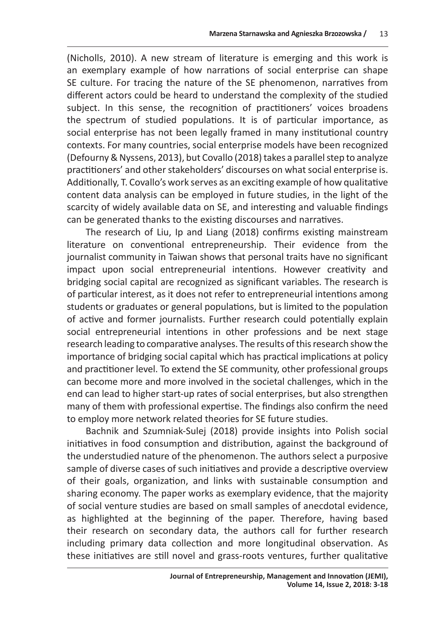(Nicholls, 2010). A new stream of literature is emerging and this work is an exemplary example of how narrations of social enterprise can shape SE culture. For tracing the nature of the SE phenomenon, narratives from different actors could be heard to understand the complexity of the studied subject. In this sense, the recognition of practitioners' voices broadens the spectrum of studied populations. It is of particular importance, as social enterprise has not been legally framed in many institutional country contexts. For many countries, social enterprise models have been recognized (Defourny & Nyssens, 2013), but Covallo (2018) takes a parallel step to analyze practitioners' and other stakeholders' discourses on what social enterprise is. Additionally, T. Covallo's work serves as an exciting example of how qualitative content data analysis can be employed in future studies, in the light of the scarcity of widely available data on SE, and interesting and valuable findings can be generated thanks to the existing discourses and narratives.

The research of Liu, Ip and Liang (2018) confirms existing mainstream literature on conventional entrepreneurship. Their evidence from the journalist community in Taiwan shows that personal traits have no significant impact upon social entrepreneurial intentions. However creativity and bridging social capital are recognized as significant variables. The research is of particular interest, as it does not refer to entrepreneurial intentions among students or graduates or general populations, but is limited to the population of active and former journalists. Further research could potentially explain social entrepreneurial intentions in other professions and be next stage research leading to comparative analyses. The results of this research show the importance of bridging social capital which has practical implications at policy and practitioner level. To extend the SE community, other professional groups can become more and more involved in the societal challenges, which in the end can lead to higher start-up rates of social enterprises, but also strengthen many of them with professional expertise. The findings also confirm the need to employ more network related theories for SE future studies.

Bachnik and Szumniak-Sulej (2018) provide insights into Polish social initiatives in food consumption and distribution, against the background of the understudied nature of the phenomenon. The authors select a purposive sample of diverse cases of such initiatives and provide a descriptive overview of their goals, organization, and links with sustainable consumption and sharing economy. The paper works as exemplary evidence, that the majority of social venture studies are based on small samples of anecdotal evidence, as highlighted at the beginning of the paper. Therefore, having based their research on secondary data, the authors call for further research including primary data collection and more longitudinal observation. As these initiatives are still novel and grass-roots ventures, further qualitative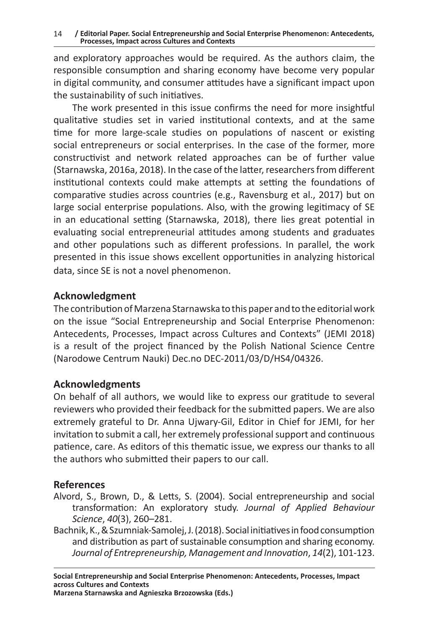and exploratory approaches would be required. As the authors claim, the responsible consumption and sharing economy have become very popular in digital community, and consumer attitudes have a significant impact upon the sustainability of such initiatives.

The work presented in this issue confirms the need for more insightful qualitative studies set in varied institutional contexts, and at the same time for more large-scale studies on populations of nascent or existing social entrepreneurs or social enterprises. In the case of the former, more constructivist and network related approaches can be of further value (Starnawska, 2016a, 2018). In the case of the latter, researchers from different institutional contexts could make attempts at setting the foundations of comparative studies across countries (e.g., Ravensburg et al., 2017) but on large social enterprise populations. Also, with the growing legitimacy of SE in an educational setting (Starnawska, 2018), there lies great potential in evaluating social entrepreneurial attitudes among students and graduates and other populations such as different professions. In parallel, the work presented in this issue shows excellent opportunities in analyzing historical data, since SE is not a novel phenomenon.

## **Acknowledgment**

The contribution of Marzena Starnawska to this paper and to the editorial work on the issue "Social Entrepreneurship and Social Enterprise Phenomenon: Antecedents, Processes, Impact across Cultures and Contexts" (JEMI 2018) is a result of the project financed by the Polish National Science Centre (Narodowe Centrum Nauki) Dec.no DEC-2011/03/D/HS4/04326.

## **Acknowledgments**

On behalf of all authors, we would like to express our gratitude to several reviewers who provided their feedback for the submitted papers. We are also extremely grateful to Dr. Anna Ujwary-Gil, Editor in Chief for JEMI, for her invitation to submit a call, her extremely professional support and continuous patience, care. As editors of this thematic issue, we express our thanks to all the authors who submitted their papers to our call.

## **References**

- Alvord, S., Brown, D., & Letts, S. (2004). Social entrepreneurship and social transformation: An exploratory study. *Journal of Applied Behaviour Science*, *40*(3), 260–281.
- Bachnik, K., & Szumniak-Samolej, J. (2018). Social initiatives in food consumption and distribution as part of sustainable consumption and sharing economy. *Journal of Entrepreneurship, Management and Innovation*, *14*(2), 101-123.

**Marzena Starnawska and Agnieszka Brzozowska (Eds.)**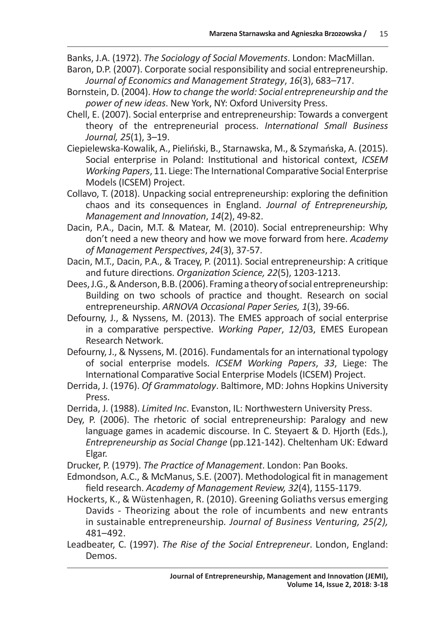Banks, J.A. (1972). *The Sociology of Social Movements*. London: MacMillan.

- Baron, D.P. (2007). Corporate social responsibility and social entrepreneurship. *Journal of Economics and Management Strategy*, *16*(3), 683–717.
- Bornstein, D. (2004). *How to change the world: Social entrepreneurship and the power of new ideas*. New York, NY: Oxford University Press.
- Chell, E. (2007). Social enterprise and entrepreneurship: Towards a convergent theory of the entrepreneurial process. *International Small Business Journal, 25*(1), 3–19.
- Ciepielewska-Kowalik, A., Pieliński, B., Starnawska, M., & Szymańska, A. (2015). Social enterprise in Poland: Institutional and historical context, *ICSEM Working Papers*, 11. Liege: The International Comparative Social Enterprise Models (ICSEM) Project.
- Collavo, T. (2018). Unpacking social entrepreneurship: exploring the definition chaos and its consequences in England. *Journal of Entrepreneurship, Management and Innovation*, *14*(2), 49-82.
- Dacin, P.A., Dacin, M.T. & Matear, M. (2010). Social entrepreneurship: Why don't need a new theory and how we move forward from here. *Academy of Management Perspectives*, *24*(3), 37-57.
- Dacin, M.T., Dacin, P.A., & Tracey, P. (2011). Social entrepreneurship: A critique and future directions. *Organization Science, 22*(5), 1203-1213.
- Dees, J.G., & Anderson, B.B. (2006). Framing a theory of social entrepreneurship: Building on two schools of practice and thought. Research on social entrepreneurship. *ARNOVA Occasional Paper Series, 1*(3), 39-66.
- Defourny, J., & Nyssens, M. (2013). The EMES approach of social enterprise in a comparative perspective. *Working Paper*, *12*/03, EMES European Research Network.
- Defourny, J., & Nyssens, M. (2016). Fundamentals for an international typology of social enterprise models. *ICSEM Working Papers*, *33*, Liege: The International Comparative Social Enterprise Models (ICSEM) Project.
- Derrida, J. (1976). *Of Grammatology*. Baltimore, MD: Johns Hopkins University Press.
- Derrida, J. (1988). *Limited Inc*. Evanston, IL: Northwestern University Press.
- Dey, P. (2006). The rhetoric of social entrepreneurship: Paralogy and new language games in academic discourse. In C. Steyaert & D. Hjorth (Eds.), *Entrepreneurship as Social Change* (pp.121-142). Cheltenham UK: Edward Elgar.
- Drucker, P. (1979). *The Practice of Management*. London: Pan Books.
- Edmondson, A.C., & McManus, S.E. (2007). Methodological fit in management field research. *Academy of Management Review, 32*(4), 1155-1179.
- Hockerts, K., & Wüstenhagen, R. (2010). Greening Goliaths versus emerging Davids - Theorizing about the role of incumbents and new entrants in sustainable entrepreneurship*. Journal of Business Venturing, 25(2),*  481–492.
- Leadbeater, C. (1997). *The Rise of the Social Entrepreneur*. London, England: Demos.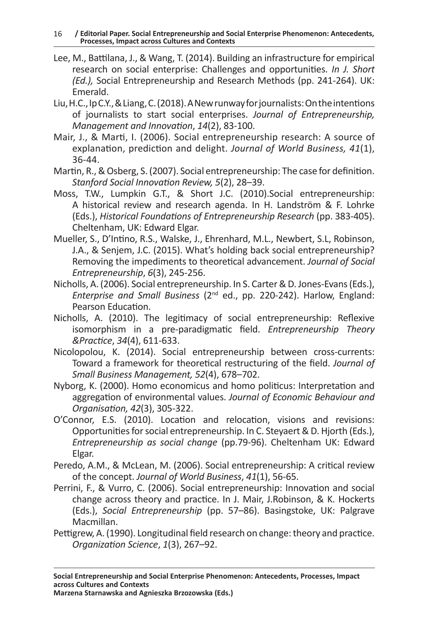- Lee, M., Battilana, J., & Wang, T. (2014). Building an infrastructure for empirical research on social enterprise: Challenges and opportunities. *In J. Short (Ed.),* Social Entrepreneurship and Research Methods (pp. 241-264). UK: Emerald.
- Liu, H.C., Ip C.Y., & Liang, C. (2018). ANew runway for journalists: On the intentions of journalists to start social enterprises. *Journal of Entrepreneurship, Management and Innovation*, *14*(2), 83-100.
- Mair, J., & Marti, I. (2006). Social entrepreneurship research: A source of explanation, prediction and delight. *Journal of World Business, 41*(1), 36-44.
- Martin, R., & Osberg, S. (2007). Social entrepreneurship: The case for definition. *Stanford Social Innovation Review, 5*(2), 28–39.
- Moss, T.W., Lumpkin G.T., & Short J.C. (2010).Social entrepreneurship: A historical review and research agenda. In H. Landström & F. Lohrke (Eds.), *Historical Foundations of Entrepreneurship Research* (pp. 383-405). Cheltenham, UK: Edward Elgar.
- Mueller, S., D'Intino, R.S., Walske, J., Ehrenhard, M.L., Newbert, S.L, Robinson, J.A., & Senjem, J.C. (2015). What's holding back social entrepreneurship? Removing the impediments to theoretical advancement. *Journal of Social Entrepreneurship*, *6*(3), 245-256.
- Nicholls, A. (2006). Social entrepreneurship. In S. Carter & D. Jones-Evans (Eds.), *Enterprise and Small Business* (2nd ed., pp. 220-242). Harlow, England: Pearson Education.
- Nicholls, A. (2010). The legitimacy of social entrepreneurship: Reflexive isomorphism in a pre-paradigmatic field. *Entrepreneurship Theory &Practice*, *34*(4), 611-633.
- Nicolopolou, K. (2014). Social entrepreneurship between cross-currents: Toward a framework for theoretical restructuring of the field. *Journal of Small Business Management, 52*(4), 678–702.
- Nyborg, K. (2000). Homo economicus and homo politicus: Interpretation and aggregation of environmental values. *Journal of Economic Behaviour and Organisation, 42*(3), 305-322.
- O'Connor, E.S. (2010). Location and relocation, visions and revisions: Opportunities for social entrepreneurship. In C. Steyaert & D. Hjorth (Eds.), *Entrepreneurship as social change* (pp.79-96). Cheltenham UK: Edward Elgar.
- Peredo, A.M., & McLean, M. (2006). Social entrepreneurship: A critical review of the concept. *Journal of World Business*, *41*(1), 56-65.
- Perrini, F., & Vurro, C. (2006). Social entrepreneurship: Innovation and social change across theory and practice. In J. Mair, J.Robinson, & K. Hockerts (Eds.), *Social Entrepreneurship* (pp. 57–86). Basingstoke, UK: Palgrave Macmillan.
- Pettigrew, A. (1990). Longitudinal field research on change: theory and practice. *Organization Science*, *1*(3), 267–92.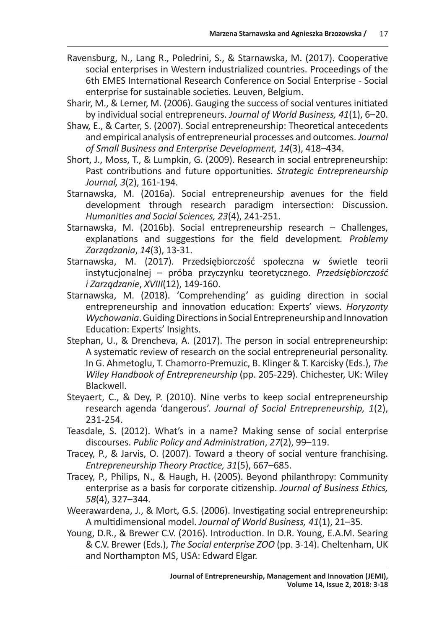- Ravensburg, N., Lang R., Poledrini, S., & Starnawska, M. (2017). Cooperative social enterprises in Western industrialized countries. Proceedings of the 6th EMES International Research Conference on Social Enterprise - Social enterprise for sustainable societies. Leuven, Belgium.
- Sharir, M., & Lerner, M. (2006). Gauging the success of social ventures initiated by individual social entrepreneurs. *Journal of World Business, 41*(1), 6–20.
- Shaw, E., & Carter, S. (2007). Social entrepreneurship: Theoretical antecedents and empirical analysis of entrepreneurial processes and outcomes. *Journal of Small Business and Enterprise Development, 14*(3), 418–434.
- Short, J., Moss, T., & Lumpkin, G. (2009). Research in social entrepreneurship: Past contributions and future opportunities. *Strategic Entrepreneurship Journal, 3*(2), 161-194.
- Starnawska, M. (2016a). Social entrepreneurship avenues for the field development through research paradigm intersection: Discussion. *Humanities and Social Sciences, 23*(4), 241-251.
- Starnawska, M. (2016b). Social entrepreneurship research Challenges, explanations and suggestions for the field development*. Problemy Zarządzania*, *14*(3), 13-31.
- Starnawska, M. (2017). Przedsiębiorczość społeczna w świetle teorii instytucjonalnej – próba przyczynku teoretycznego. *Przedsiębiorczość i Zarządzanie*, *XVIII*(12), 149-160.
- Starnawska, M. (2018). 'Comprehending' as guiding direction in social entrepreneurship and innovation education: Experts' views. *Horyzonty Wychowania*. Guiding Directions in Social Entrepreneurship and Innovation Education: Experts' Insights.
- Stephan, U., & Drencheva, A. (2017). The person in social entrepreneurship: A systematic review of research on the social entrepreneurial personality. In G. Ahmetoglu, T. Chamorro-Premuzic, B. Klinger & T. Karcisky (Eds.), *The Wiley Handbook of Entrepreneurship* (pp. 205-229). Chichester, UK: Wiley Blackwell.
- Steyaert, C., & Dey, P. (2010). Nine verbs to keep social entrepreneurship research agenda 'dangerous'. *Journal of Social Entrepreneurship, 1*(2), 231-254.
- Teasdale, S. (2012). What's in a name? Making sense of social enterprise discourses. *Public Policy and Administration*, *27*(2), 99–119.
- Tracey, P., & Jarvis, O. (2007). Toward a theory of social venture franchising. *Entrepreneurship Theory Practice, 31*(5), 667–685.
- Tracey, P., Philips, N., & Haugh, H. (2005). Beyond philanthropy: Community enterprise as a basis for corporate citizenship. *Journal of Business Ethics, 58*(4), 327–344.
- Weerawardena, J., & Mort, G.S. (2006). Investigating social entrepreneurship: A multidimensional model. *Journal of World Business, 41*(1), 21–35.
- Young, D.R., & Brewer C.V. (2016). Introduction. In D.R. Young, E.A.M. Searing & C.V. Brewer (Eds.), *The Social enterprise ZOO* (pp. 3-14). Cheltenham, UK and Northampton MS, USA: Edward Elgar.